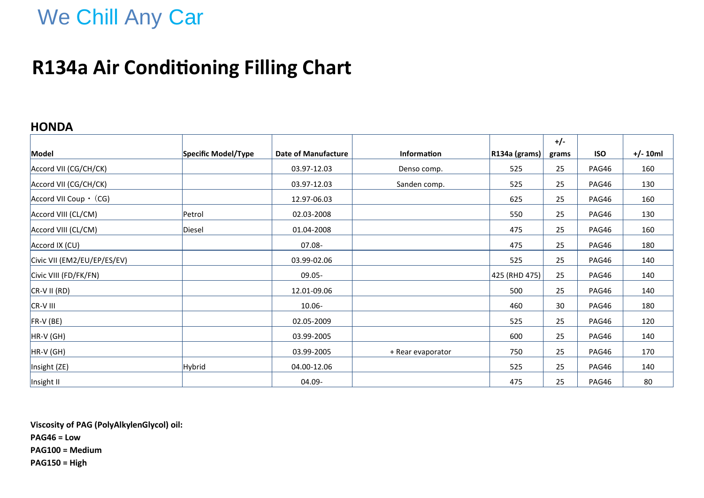# We Chill Any Car

### **R134a Air Conditioning Filling Chart**

### **HONDA**

|                                  |                     |                            |                    |                      | $+/-$ |            |            |
|----------------------------------|---------------------|----------------------------|--------------------|----------------------|-------|------------|------------|
| Model                            | Specific Model/Type | <b>Date of Manufacture</b> | <b>Information</b> | $ R134a$ (grams) $ $ | grams | <b>ISO</b> | $+/- 10ml$ |
| Accord VII (CG/CH/CK)            |                     | 03.97-12.03                | Denso comp.        | 525                  | 25    | PAG46      | 160        |
| Accord VII (CG/CH/CK)            |                     | 03.97-12.03                | Sanden comp.       | 525                  | 25    | PAG46      | 130        |
| $ $ Accord VII Coup $\cdot$ (CG) |                     | 12.97-06.03                |                    | 625                  | 25    | PAG46      | 160        |
| Accord VIII (CL/CM)              | Petrol              | 02.03-2008                 |                    | 550                  | 25    | PAG46      | 130        |
| Accord VIII (CL/CM)              | Diesel              | 01.04-2008                 |                    | 475                  | 25    | PAG46      | 160        |
| Accord IX (CU)                   |                     | $07.08 -$                  |                    | 475                  | 25    | PAG46      | 180        |
| Civic VII (EM2/EU/EP/ES/EV)      |                     | 03.99-02.06                |                    | 525                  | 25    | PAG46      | 140        |
| Civic VIII (FD/FK/FN)            |                     | 09.05-                     |                    | 425 (RHD 475)        | 25    | PAG46      | 140        |
| $CR-VII (RD)$                    |                     | 12.01-09.06                |                    | 500                  | 25    | PAG46      | 140        |
| CR-V III                         |                     | 10.06-                     |                    | 460                  | 30    | PAG46      | 180        |
| FR-V (BE)                        |                     | 02.05-2009                 |                    | 525                  | 25    | PAG46      | 120        |
| HR-V (GH)                        |                     | 03.99-2005                 |                    | 600                  | 25    | PAG46      | 140        |
| HR-V (GH)                        |                     | 03.99-2005                 | + Rear evaporator  | 750                  | 25    | PAG46      | 170        |
| Insight (ZE)                     | Hybrid              | 04.00-12.06                |                    | 525                  | 25    | PAG46      | 140        |
| Insight II                       |                     | 04.09-                     |                    | 475                  | 25    | PAG46      | 80         |

**Viscosity of PAG (PolyAlkylenGlycol) oil: PAG46 = Low PAG100 = Medium PAG150 = High**